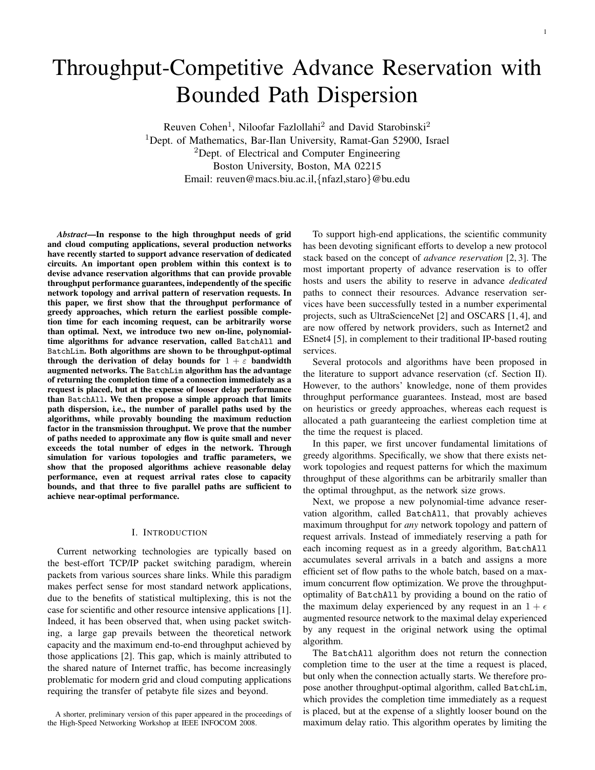# Throughput-Competitive Advance Reservation with Bounded Path Dispersion

Reuven Cohen<sup>1</sup>, Niloofar Fazlollahi<sup>2</sup> and David Starobinski<sup>2</sup> <sup>1</sup>Dept. of Mathematics, Bar-Ilan University, Ramat-Gan 52900, Israel <sup>2</sup>Dept. of Electrical and Computer Engineering Boston University, Boston, MA 02215 Email: reuven@macs.biu.ac.il,*{*nfazl,staro*}*@bu.edu

*Abstract*—In response to the high throughput needs of grid and cloud computing applications, several production networks have recently started to support advance reservation of dedicated circuits. An important open problem within this context is to devise advance reservation algorithms that can provide provable throughput performance guarantees, independently of the specific network topology and arrival pattern of reservation requests. In this paper, we first show that the throughput performance of greedy approaches, which return the earliest possible completion time for each incoming request, can be arbitrarily worse than optimal. Next, we introduce two new on-line, polynomialtime algorithms for advance reservation, called BatchAll and BatchLim. Both algorithms are shown to be throughput-optimal through the derivation of delay bounds for  $1 + \varepsilon$  bandwidth augmented networks. The BatchLim algorithm has the advantage of returning the completion time of a connection immediately as a request is placed, but at the expense of looser delay performance than BatchAll. We then propose a simple approach that limits path dispersion, i.e., the number of parallel paths used by the algorithms, while provably bounding the maximum reduction factor in the transmission throughput. We prove that the number of paths needed to approximate any flow is quite small and never exceeds the total number of edges in the network. Through simulation for various topologies and traffic parameters, we show that the proposed algorithms achieve reasonable delay performance, even at request arrival rates close to capacity bounds, and that three to five parallel paths are sufficient to achieve near-optimal performance.

#### I. INTRODUCTION

Current networking technologies are typically based on the best-effort TCP/IP packet switching paradigm, wherein packets from various sources share links. While this paradigm makes perfect sense for most standard network applications, due to the benefits of statistical multiplexing, this is not the case for scientific and other resource intensive applications [1]. Indeed, it has been observed that, when using packet switching, a large gap prevails between the theoretical network capacity and the maximum end-to-end throughput achieved by those applications [2]. This gap, which is mainly attributed to the shared nature of Internet traffic, has become increasingly problematic for modern grid and cloud computing applications requiring the transfer of petabyte file sizes and beyond.

To support high-end applications, the scientific community has been devoting significant efforts to develop a new protocol stack based on the concept of *advance reservation* [2, 3]. The most important property of advance reservation is to offer hosts and users the ability to reserve in advance *dedicated* paths to connect their resources. Advance reservation services have been successfully tested in a number experimental projects, such as UltraScienceNet [2] and OSCARS [1, 4], and are now offered by network providers, such as Internet2 and ESnet4 [5], in complement to their traditional IP-based routing services.

Several protocols and algorithms have been proposed in the literature to support advance reservation (cf. Section II). However, to the authors' knowledge, none of them provides throughput performance guarantees. Instead, most are based on heuristics or greedy approaches, whereas each request is allocated a path guaranteeing the earliest completion time at the time the request is placed.

In this paper, we first uncover fundamental limitations of greedy algorithms. Specifically, we show that there exists network topologies and request patterns for which the maximum throughput of these algorithms can be arbitrarily smaller than the optimal throughput, as the network size grows.

Next, we propose a new polynomial-time advance reservation algorithm, called BatchAll, that provably achieves maximum throughput for *any* network topology and pattern of request arrivals. Instead of immediately reserving a path for each incoming request as in a greedy algorithm, BatchAll accumulates several arrivals in a batch and assigns a more efficient set of flow paths to the whole batch, based on a maximum concurrent flow optimization. We prove the throughputoptimality of BatchAll by providing a bound on the ratio of the maximum delay experienced by any request in an  $1 + \epsilon$ augmented resource network to the maximal delay experienced by any request in the original network using the optimal algorithm.

The BatchAll algorithm does not return the connection completion time to the user at the time a request is placed, but only when the connection actually starts. We therefore propose another throughput-optimal algorithm, called BatchLim, which provides the completion time immediately as a request is placed, but at the expense of a slightly looser bound on the maximum delay ratio. This algorithm operates by limiting the

A shorter, preliminary version of this paper appeared in the proceedings of the High-Speed Networking Workshop at IEEE INFOCOM 2008.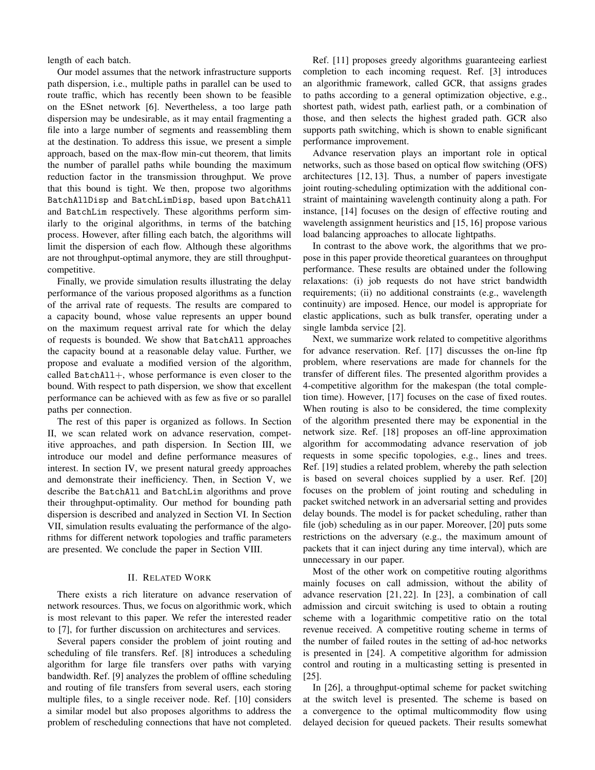length of each batch.

Our model assumes that the network infrastructure supports path dispersion, i.e., multiple paths in parallel can be used to route traffic, which has recently been shown to be feasible on the ESnet network [6]. Nevertheless, a too large path dispersion may be undesirable, as it may entail fragmenting a file into a large number of segments and reassembling them at the destination. To address this issue, we present a simple approach, based on the max-flow min-cut theorem, that limits the number of parallel paths while bounding the maximum reduction factor in the transmission throughput. We prove that this bound is tight. We then, propose two algorithms BatchAllDisp and BatchLimDisp, based upon BatchAll and BatchLim respectively. These algorithms perform similarly to the original algorithms, in terms of the batching process. However, after filling each batch, the algorithms will limit the dispersion of each flow. Although these algorithms are not throughput-optimal anymore, they are still throughputcompetitive.

Finally, we provide simulation results illustrating the delay performance of the various proposed algorithms as a function of the arrival rate of requests. The results are compared to a capacity bound, whose value represents an upper bound on the maximum request arrival rate for which the delay of requests is bounded. We show that BatchAll approaches the capacity bound at a reasonable delay value. Further, we propose and evaluate a modified version of the algorithm, called BatchAll+, whose performance is even closer to the bound. With respect to path dispersion, we show that excellent performance can be achieved with as few as five or so parallel paths per connection.

The rest of this paper is organized as follows. In Section II, we scan related work on advance reservation, competitive approaches, and path dispersion. In Section III, we introduce our model and define performance measures of interest. In section IV, we present natural greedy approaches and demonstrate their inefficiency. Then, in Section V, we describe the BatchAll and BatchLim algorithms and prove their throughput-optimality. Our method for bounding path dispersion is described and analyzed in Section VI. In Section VII, simulation results evaluating the performance of the algorithms for different network topologies and traffic parameters are presented. We conclude the paper in Section VIII.

## II. RELATED WORK

There exists a rich literature on advance reservation of network resources. Thus, we focus on algorithmic work, which is most relevant to this paper. We refer the interested reader to [7], for further discussion on architectures and services.

Several papers consider the problem of joint routing and scheduling of file transfers. Ref. [8] introduces a scheduling algorithm for large file transfers over paths with varying bandwidth. Ref. [9] analyzes the problem of offline scheduling and routing of file transfers from several users, each storing multiple files, to a single receiver node. Ref. [10] considers a similar model but also proposes algorithms to address the problem of rescheduling connections that have not completed.

Ref. [11] proposes greedy algorithms guaranteeing earliest completion to each incoming request. Ref. [3] introduces an algorithmic framework, called GCR, that assigns grades to paths according to a general optimization objective, e.g., shortest path, widest path, earliest path, or a combination of those, and then selects the highest graded path. GCR also supports path switching, which is shown to enable significant performance improvement.

Advance reservation plays an important role in optical networks, such as those based on optical flow switching (OFS) architectures [12, 13]. Thus, a number of papers investigate joint routing-scheduling optimization with the additional constraint of maintaining wavelength continuity along a path. For instance, [14] focuses on the design of effective routing and wavelength assignment heuristics and [15, 16] propose various load balancing approaches to allocate lightpaths.

In contrast to the above work, the algorithms that we propose in this paper provide theoretical guarantees on throughput performance. These results are obtained under the following relaxations: (i) job requests do not have strict bandwidth requirements; (ii) no additional constraints (e.g., wavelength continuity) are imposed. Hence, our model is appropriate for elastic applications, such as bulk transfer, operating under a single lambda service [2].

Next, we summarize work related to competitive algorithms for advance reservation. Ref. [17] discusses the on-line ftp problem, where reservations are made for channels for the transfer of different files. The presented algorithm provides a 4-competitive algorithm for the makespan (the total completion time). However, [17] focuses on the case of fixed routes. When routing is also to be considered, the time complexity of the algorithm presented there may be exponential in the network size. Ref. [18] proposes an off-line approximation algorithm for accommodating advance reservation of job requests in some specific topologies, e.g., lines and trees. Ref. [19] studies a related problem, whereby the path selection is based on several choices supplied by a user. Ref. [20] focuses on the problem of joint routing and scheduling in packet switched network in an adversarial setting and provides delay bounds. The model is for packet scheduling, rather than file (job) scheduling as in our paper. Moreover, [20] puts some restrictions on the adversary (e.g., the maximum amount of packets that it can inject during any time interval), which are unnecessary in our paper.

Most of the other work on competitive routing algorithms mainly focuses on call admission, without the ability of advance reservation [21, 22]. In [23], a combination of call admission and circuit switching is used to obtain a routing scheme with a logarithmic competitive ratio on the total revenue received. A competitive routing scheme in terms of the number of failed routes in the setting of ad-hoc networks is presented in [24]. A competitive algorithm for admission control and routing in a multicasting setting is presented in [25].

In [26], a throughput-optimal scheme for packet switching at the switch level is presented. The scheme is based on a convergence to the optimal multicommodity flow using delayed decision for queued packets. Their results somewhat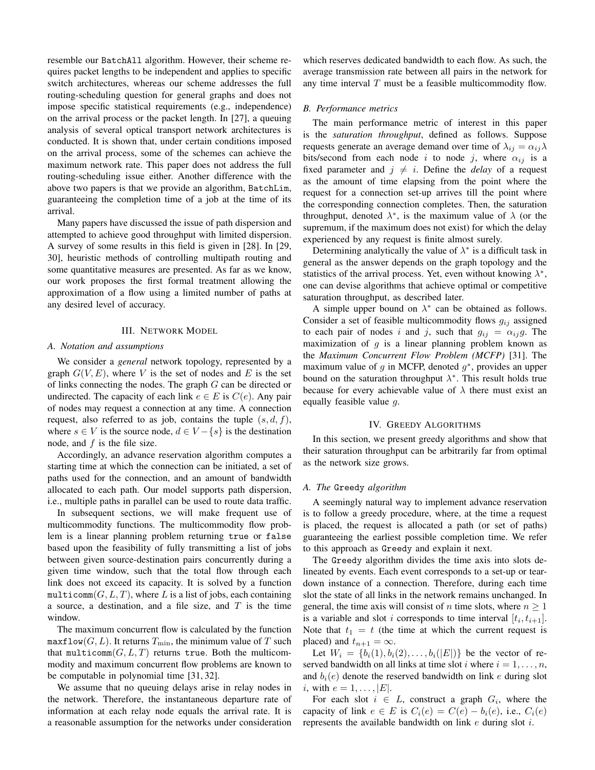resemble our BatchAll algorithm. However, their scheme requires packet lengths to be independent and applies to specific switch architectures, whereas our scheme addresses the full routing-scheduling question for general graphs and does not impose specific statistical requirements (e.g., independence) on the arrival process or the packet length. In [27], a queuing analysis of several optical transport network architectures is conducted. It is shown that, under certain conditions imposed on the arrival process, some of the schemes can achieve the maximum network rate. This paper does not address the full routing-scheduling issue either. Another difference with the above two papers is that we provide an algorithm, BatchLim, guaranteeing the completion time of a job at the time of its arrival.

Many papers have discussed the issue of path dispersion and attempted to achieve good throughput with limited dispersion. A survey of some results in this field is given in [28]. In [29, 30], heuristic methods of controlling multipath routing and some quantitative measures are presented. As far as we know, our work proposes the first formal treatment allowing the approximation of a flow using a limited number of paths at any desired level of accuracy.

## III. NETWORK MODEL

## *A. Notation and assumptions*

We consider a *general* network topology, represented by a graph  $G(V, E)$ , where V is the set of nodes and E is the set of links connecting the nodes. The graph *G* can be directed or undirected. The capacity of each link  $e \in E$  is  $C(e)$ . Any pair of nodes may request a connection at any time. A connection request, also referred to as job, contains the tuple (*s, d, f*), where  $s \in V$  is the source node,  $d \in V - \{s\}$  is the destination node, and *f* is the file size.

Accordingly, an advance reservation algorithm computes a starting time at which the connection can be initiated, a set of paths used for the connection, and an amount of bandwidth allocated to each path. Our model supports path dispersion, i.e., multiple paths in parallel can be used to route data traffic.

In subsequent sections, we will make frequent use of multicommodity functions. The multicommodity flow problem is a linear planning problem returning true or false based upon the feasibility of fully transmitting a list of jobs between given source-destination pairs concurrently during a given time window, such that the total flow through each link does not exceed its capacity. It is solved by a function multicomm $(G, L, T)$ , where L is a list of jobs, each containing a source, a destination, and a file size, and *T* is the time window.

The maximum concurrent flow is calculated by the function maxflow( $G, L$ ). It returns  $T_{\min}$ , the minimum value of  $T$  such that multicomm $(G, L, T)$  returns true. Both the multicommodity and maximum concurrent flow problems are known to be computable in polynomial time [31, 32].

We assume that no queuing delays arise in relay nodes in the network. Therefore, the instantaneous departure rate of information at each relay node equals the arrival rate. It is a reasonable assumption for the networks under consideration

which reserves dedicated bandwidth to each flow. As such, the average transmission rate between all pairs in the network for any time interval *T* must be a feasible multicommodity flow.

#### *B. Performance metrics*

The main performance metric of interest in this paper is the *saturation throughput*, defined as follows. Suppose requests generate an average demand over time of  $\lambda_{ij} = \alpha_{ij} \lambda$ bits/second from each node *i* to node *j*, where  $\alpha_{ij}$  is a fixed parameter and  $j \neq i$ . Define the *delay* of a request as the amount of time elapsing from the point where the request for a connection set-up arrives till the point where the corresponding connection completes. Then, the saturation throughput, denoted  $\lambda^*$ , is the maximum value of  $\lambda$  (or the supremum, if the maximum does not exist) for which the delay experienced by any request is finite almost surely.

Determining analytically the value of *λ ∗* is a difficult task in general as the answer depends on the graph topology and the statistics of the arrival process. Yet, even without knowing  $\lambda^*$ , one can devise algorithms that achieve optimal or competitive saturation throughput, as described later.

A simple upper bound on  $\lambda^*$  can be obtained as follows. Consider a set of feasible multicommodity flows  $g_{ij}$  assigned to each pair of nodes *i* and *j*, such that  $g_{ij} = \alpha_{ij}g$ . The maximization of  $g$  is a linear planning problem known as the *Maximum Concurrent Flow Problem (MCFP)* [31]. The maximum value of *g* in MCFP, denoted *g ∗* , provides an upper bound on the saturation throughput *λ ∗* . This result holds true because for every achievable value of  $\lambda$  there must exist an equally feasible value *g*.

# IV. GREEDY ALGORITHMS

In this section, we present greedy algorithms and show that their saturation throughput can be arbitrarily far from optimal as the network size grows.

# *A. The* Greedy *algorithm*

A seemingly natural way to implement advance reservation is to follow a greedy procedure, where, at the time a request is placed, the request is allocated a path (or set of paths) guaranteeing the earliest possible completion time. We refer to this approach as Greedy and explain it next.

The Greedy algorithm divides the time axis into slots delineated by events. Each event corresponds to a set-up or teardown instance of a connection. Therefore, during each time slot the state of all links in the network remains unchanged. In general, the time axis will consist of *n* time slots, where  $n \geq 1$ is a variable and slot *i* corresponds to time interval  $[t_i, t_{i+1}]$ . Note that  $t_1 = t$  (the time at which the current request is placed) and  $t_{n+1} = \infty$ .

Let  $W_i = \{b_i(1), b_i(2), \ldots, b_i(|E|)\}\)$  be the vector of reserved bandwidth on all links at time slot *i* where  $i = 1, \ldots, n$ , and  $b_i(e)$  denote the reserved bandwidth on link  $e$  during slot *i*, with  $e = 1, ..., |E|$ .

For each slot  $i \in L$ , construct a graph  $G_i$ , where the capacity of link  $e \in E$  is  $C_i(e) = C(e) - b_i(e)$ , i.e.,  $C_i(e)$ represents the available bandwidth on link *e* during slot *i*.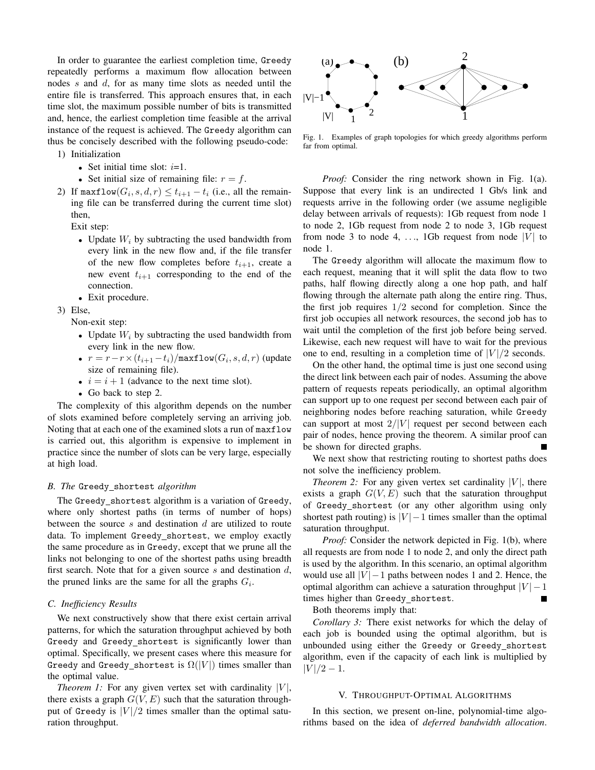In order to guarantee the earliest completion time, Greedy repeatedly performs a maximum flow allocation between nodes *s* and *d*, for as many time slots as needed until the entire file is transferred. This approach ensures that, in each time slot, the maximum possible number of bits is transmitted and, hence, the earliest completion time feasible at the arrival instance of the request is achieved. The Greedy algorithm can thus be concisely described with the following pseudo-code:

- 1) Initialization
	- *•* Set initial time slot: *i*=1.
	- Set initial size of remaining file:  $r = f$ .
- 2) If  $\max \text{flow}(G_i, s, d, r) \leq t_{i+1} t_i$  (i.e., all the remaining file can be transferred during the current time slot) then,

Exit step:

- *•* Update *W<sup>i</sup>* by subtracting the used bandwidth from every link in the new flow and, if the file transfer of the new flow completes before  $t_{i+1}$ , create a new event  $t_{i+1}$  corresponding to the end of the connection.
- *•* Exit procedure.
- 3) Else,

Non-exit step:

- *•* Update *W<sup>i</sup>* by subtracting the used bandwidth from every link in the new flow.
- *• r* = *r−r×*(*ti*+1*−ti*)*/*maxflow(*G<sup>i</sup> , s, d, r*) (update size of remaining file).
- $i = i + 1$  (advance to the next time slot).
- *•* Go back to step 2.

The complexity of this algorithm depends on the number of slots examined before completely serving an arriving job. Noting that at each one of the examined slots a run of maxflow is carried out, this algorithm is expensive to implement in practice since the number of slots can be very large, especially at high load.

## *B. The* Greedy shortest *algorithm*

The Greedy\_shortest algorithm is a variation of Greedy, where only shortest paths (in terms of number of hops) between the source *s* and destination *d* are utilized to route data. To implement Greedy shortest, we employ exactly the same procedure as in Greedy, except that we prune all the links not belonging to one of the shortest paths using breadth first search. Note that for a given source *s* and destination *d*, the pruned links are the same for all the graphs *G<sup>i</sup>* .

# *C. Inefficiency Results*

We next constructively show that there exist certain arrival patterns, for which the saturation throughput achieved by both Greedy and Greedy shortest is significantly lower than optimal. Specifically, we present cases where this measure for Greedy and Greedy shortest is  $\Omega(|V|)$  times smaller than the optimal value.

*Theorem 1:* For any given vertex set with cardinality  $|V|$ , there exists a graph  $G(V, E)$  such that the saturation throughput of Greedy is  $|V|/2$  times smaller than the optimal saturation throughput.



Fig. 1. Examples of graph topologies for which greedy algorithms perform far from optimal.

*Proof:* Consider the ring network shown in Fig. 1(a). Suppose that every link is an undirected 1 Gb/s link and requests arrive in the following order (we assume negligible delay between arrivals of requests): 1Gb request from node 1 to node 2, 1Gb request from node 2 to node 3, 1Gb request from node 3 to node 4, ..., 1Gb request from node  $|V|$  to node 1.

The Greedy algorithm will allocate the maximum flow to each request, meaning that it will split the data flow to two paths, half flowing directly along a one hop path, and half flowing through the alternate path along the entire ring. Thus, the first job requires 1*/*2 second for completion. Since the first job occupies all network resources, the second job has to wait until the completion of the first job before being served. Likewise, each new request will have to wait for the previous one to end, resulting in a completion time of  $|V|/2$  seconds.

On the other hand, the optimal time is just one second using the direct link between each pair of nodes. Assuming the above pattern of requests repeats periodically, an optimal algorithm can support up to one request per second between each pair of neighboring nodes before reaching saturation, while Greedy can support at most  $2/|V|$  request per second between each pair of nodes, hence proving the theorem. A similar proof can be shown for directed graphs.

We next show that restricting routing to shortest paths does not solve the inefficiency problem.

*Theorem 2:* For any given vertex set cardinality  $|V|$ , there exists a graph  $G(V, E)$  such that the saturation throughput of Greedy shortest (or any other algorithm using only shortest path routing) is  $|V| - 1$  times smaller than the optimal saturation throughput.

*Proof:* Consider the network depicted in Fig. 1(b), where all requests are from node 1 to node 2, and only the direct path is used by the algorithm. In this scenario, an optimal algorithm would use all  $|V| - 1$  paths between nodes 1 and 2. Hence, the optimal algorithm can achieve a saturation throughput  $|V| - 1$ times higher than Greedy\_shortest.  $\blacksquare$ 

Both theorems imply that:

*Corollary 3:* There exist networks for which the delay of each job is bounded using the optimal algorithm, but is unbounded using either the Greedy or Greedy shortest algorithm, even if the capacity of each link is multiplied by  $|V|/2 - 1$ .

## V. THROUGHPUT-OPTIMAL ALGORITHMS

In this section, we present on-line, polynomial-time algorithms based on the idea of *deferred bandwidth allocation*.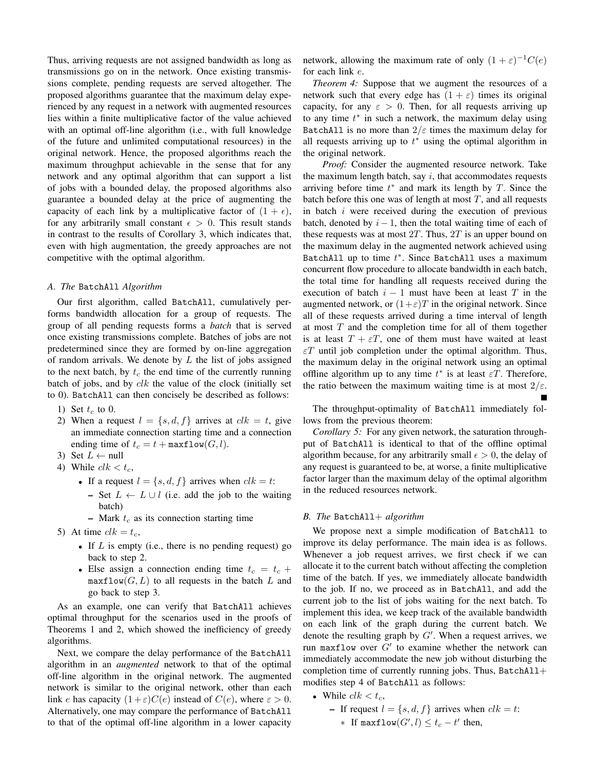Thus, arriving requests are not assigned bandwidth as long as transmissions go on in the network. Once existing transmissions complete, pending requests are served altogether. The proposed algorithms guarantee that the maximum delay experienced by any request in a network with augmented resources lies within a finite multiplicative factor of the value achieved with an optimal off-line algorithm (i.e., with full knowledge of the future and unlimited computational resources) in the original network. Hence, the proposed algorithms reach the maximum throughput achievable in the sense that for any network and any optimal algorithm that can support a list of jobs with a bounded delay, the proposed algorithms also guarantee a bounded delay at the price of augmenting the capacity of each link by a multiplicative factor of  $(1 + \epsilon)$ , for any arbitrarily small constant  $\epsilon > 0$ . This result stands in contrast to the results of Corollary 3, which indicates that, even with high augmentation, the greedy approaches are not competitive with the optimal algorithm.

#### *A. The* BatchAll *Algorithm*

Our first algorithm, called BatchAll, cumulatively performs bandwidth allocation for a group of requests. The group of all pending requests forms a *batch* that is served once existing transmissions complete. Batches of jobs are not predetermined since they are formed by on-line aggregation of random arrivals. We denote by *L* the list of jobs assigned to the next batch, by  $t_c$  the end time of the currently running batch of jobs, and by *clk* the value of the clock (initially set to 0). BatchAll can then concisely be described as follows:

- 1) Set  $t_c$  to 0.
- 2) When a request  $l = \{s, d, f\}$  arrives at  $clk = t$ , give an immediate connection starting time and a connection ending time of  $t_c = t + \text{maxflow}(G, l)$ .
- 3) Set  $L \leftarrow$  null
- 4) While  $clk < t_c$ ,
	- If a request  $l = \{s, d, f\}$  arrives when  $clk = t$ :
		- Set *L ← L ∪ l* (i.e. add the job to the waiting batch)
		- Mark *t<sup>c</sup>* as its connection starting time
- 5) At time  $clk = t_c$ ,
	- *•* If *L* is empty (i.e., there is no pending request) go back to step 2.
	- Else assign a connection ending time  $t_c = t_c +$  $maxflow(G, L)$  to all requests in the batch  $L$  and go back to step 3.

As an example, one can verify that BatchAll achieves optimal throughput for the scenarios used in the proofs of Theorems 1 and 2, which showed the inefficiency of greedy algorithms.

Next, we compare the delay performance of the BatchAll algorithm in an *augmented* network to that of the optimal off-line algorithm in the original network. The augmented network is similar to the original network, other than each link *e* has capacity  $(1+\varepsilon)C(e)$  instead of  $C(e)$ , where  $\varepsilon > 0$ . Alternatively, one may compare the performance of BatchAll to that of the optimal off-line algorithm in a lower capacity

network, allowing the maximum rate of only  $(1 + \varepsilon)^{-1}C(e)$ for each link *e*.

*Theorem 4:* Suppose that we augment the resources of a network such that every edge has  $(1 + \varepsilon)$  times its original capacity, for any  $\varepsilon > 0$ . Then, for all requests arriving up to any time *t ∗* in such a network, the maximum delay using BatchAll is no more than  $2/\varepsilon$  times the maximum delay for all requests arriving up to *t <sup>∗</sup>* using the optimal algorithm in the original network.

*Proof:* Consider the augmented resource network. Take the maximum length batch, say *i*, that accommodates requests arriving before time  $t^*$  and mark its length by  $T$ . Since the batch before this one was of length at most *T*, and all requests in batch *i* were received during the execution of previous batch, denoted by  $i-1$ , then the total waiting time of each of these requests was at most 2*T*. Thus, 2*T* is an upper bound on the maximum delay in the augmented network achieved using BatchAll up to time *t ∗* . Since BatchAll uses a maximum concurrent flow procedure to allocate bandwidth in each batch, the total time for handling all requests received during the execution of batch  $i - 1$  must have been at least  $T$  in the augmented network, or  $(1+\varepsilon)T$  in the original network. Since all of these requests arrived during a time interval of length at most *T* and the completion time for all of them together is at least  $T + \varepsilon T$ , one of them must have waited at least  $\epsilon T$  until job completion under the optimal algorithm. Thus, the maximum delay in the original network using an optimal offline algorithm up to any time  $t^*$  is at least  $\varepsilon T$ . Therefore, the ratio between the maximum waiting time is at most  $2/\varepsilon$ .

The throughput-optimality of BatchAll immediately follows from the previous theorem:

*Corollary 5:* For any given network, the saturation throughput of BatchAll is identical to that of the offline optimal algorithm because, for any arbitrarily small  $\epsilon > 0$ , the delay of any request is guaranteed to be, at worse, a finite multiplicative factor larger than the maximum delay of the optimal algorithm in the reduced resources network.

## *B. The* BatchAll+ *algorithm*

We propose next a simple modification of BatchAll to improve its delay performance. The main idea is as follows. Whenever a job request arrives, we first check if we can allocate it to the current batch without affecting the completion time of the batch. If yes, we immediately allocate bandwidth to the job. If no, we proceed as in BatchAll, and add the current job to the list of jobs waiting for the next batch. To implement this idea, we keep track of the available bandwidth on each link of the graph during the current batch. We denote the resulting graph by *G′* . When a request arrives, we run maxflow over *G′* to examine whether the network can immediately accommodate the new job without disturbing the completion time of currently running jobs. Thus,  $BatchAll+$ modifies step 4 of BatchAll as follows:

- While  $clk < t_c$ ,
	- $\blacksquare$  If request  $l = \{s, d, f\}$  arrives when  $clk = t$ :
		- *∗* If maxflow $(G', l)$   $≤$   $t_c$  *− t'* then,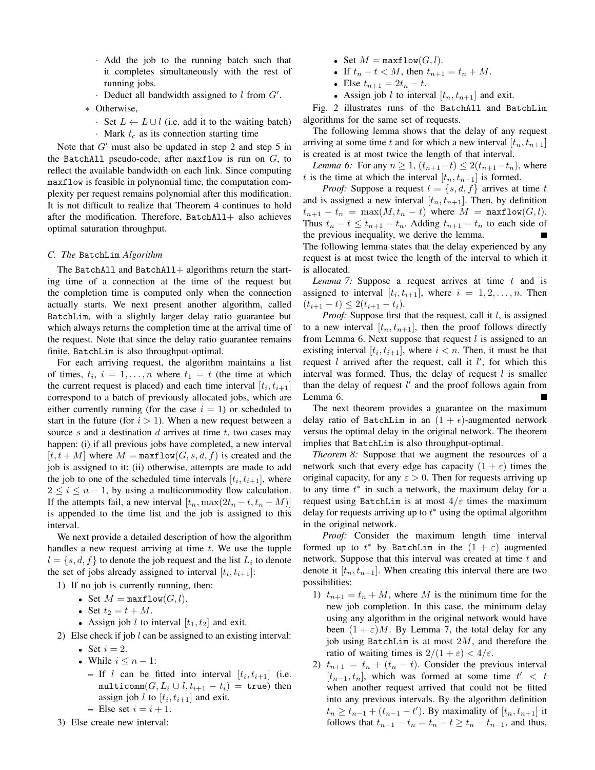- *·* Add the job to the running batch such that it completes simultaneously with the rest of running jobs.
- *·* Deduct all bandwidth assigned to *l* from *G′* .
- *∗* Otherwise,
	- *·* Set *L ← L ∪ l* (i.e. add it to the waiting batch) *·* Mark *t<sup>c</sup>* as its connection starting time

Note that *G'* must also be updated in step 2 and step 5 in the BatchAll pseudo-code, after maxflow is run on *G*, to reflect the available bandwidth on each link. Since computing maxflow is feasible in polynomial time, the computation complexity per request remains polynomial after this modification. It is not difficult to realize that Theorem 4 continues to hold after the modification. Therefore,  $BatchAll+$  also achieves optimal saturation throughput.

## *C. The* BatchLim *Algorithm*

The BatchAll and BatchAll  $+$  algorithms return the starting time of a connection at the time of the request but the completion time is computed only when the connection actually starts. We next present another algorithm, called BatchLim, with a slightly larger delay ratio guarantee but which always returns the completion time at the arrival time of the request. Note that since the delay ratio guarantee remains finite, BatchLim is also throughput-optimal.

For each arriving request, the algorithm maintains a list of times,  $t_i$ ,  $i = 1, \ldots, n$  where  $t_1 = t$  (the time at which the current request is placed) and each time interval  $[t_i, t_{i+1}]$ correspond to a batch of previously allocated jobs, which are either currently running (for the case  $i = 1$ ) or scheduled to start in the future (for  $i > 1$ ). When a new request between a source *s* and a destination *d* arrives at time *t*, two cases may happen: (i) if all previous jobs have completed, a new interval  $[t, t + M]$  where  $M = \text{maxflow}(G, s, d, f)$  is created and the job is assigned to it; (ii) otherwise, attempts are made to add the job to one of the scheduled time intervals  $[t_i, t_{i+1}]$ , where  $2 \leq i \leq n-1$ , by using a multicommodity flow calculation. If the attempts fail, a new interval  $[t_n, \max(2t_n - t, t_n + M)]$ is appended to the time list and the job is assigned to this interval.

We next provide a detailed description of how the algorithm handles a new request arriving at time *t*. We use the tupple  $l = \{s, d, f\}$  to denote the job request and the list  $L_i$  to denote the set of jobs already assigned to interval  $[t_i, t_{i+1}]$ :

1) If no job is currently running, then:

- Set  $M = \text{maxflow}(G, l)$ .
- Set  $t_2 = t + M$ .
- Assign job *l* to interval  $[t_1, t_2]$  and exit.
- 2) Else check if job *l* can be assigned to an existing interval:
	- Set  $i = 2$ .
	- *•* While *i ≤ n −* 1:
		- $-$  If *l* can be fitted into interval  $[t_i, t_{i+1}]$  (i.e.  $multicomm(G, L_i \cup l, t_{i+1} - t_i) = \text{true}$  then assign job *l* to  $[t_i, t_{i+1}]$  and exit.
		- $-$  Else set  $i = i + 1$ .
- 3) Else create new interval:
- Set  $M = \text{maxflow}(G, l)$ .
- If  $t_n t < M$ , then  $t_{n+1} = t_n + M$ .
- Else  $t_{n+1} = 2t_n t$ .
- Assign job *l* to interval  $[t_n, t_{n+1}]$  and exit.

Fig. 2 illustrates runs of the BatchAll and BatchLim algorithms for the same set of requests.

The following lemma shows that the delay of any request arriving at some time *t* and for which a new interval  $[t_n, t_{n+1}]$ is created is at most twice the length of that interval.

*Lemma 6:* For any  $n \geq 1$ ,  $(t_{n+1}-t) \leq 2(t_{n+1}-t_n)$ , where *t* is the time at which the interval  $[t_n, t_{n+1}]$  is formed.

*Proof:* Suppose a request  $l = \{s, d, f\}$  arrives at time *t* and is assigned a new interval  $[t_n, t_{n+1}]$ . Then, by definition  $t_{n+1} - t_n = \max(M, t_n - t)$  where  $M = \max{flow(G, l)}$ . Thus  $t_n - t \leq t_{n+1} - t_n$ . Adding  $t_{n+1} - t_n$  to each side of the previous inequality, we derive the lemma. The following lemma states that the delay experienced by any

request is at most twice the length of the interval to which it is allocated.

*Lemma 7:* Suppose a request arrives at time *t* and is assigned to interval  $[t_i, t_{i+1}]$ , where  $i = 1, 2, \ldots, n$ . Then  $(t_{i+1} - t) \leq 2(t_{i+1} - t_i).$ 

*Proof:* Suppose first that the request, call it *l*, is assigned to a new interval  $[t_n, t_{n+1}]$ , then the proof follows directly from Lemma 6. Next suppose that request *l* is assigned to an existing interval  $[t_i, t_{i+1}]$ , where  $i < n$ . Then, it must be that request *l* arrived after the request, call it *l ′* , for which this interval was formed. Thus, the delay of request *l* is smaller than the delay of request *l ′* and the proof follows again from Lemma 6.

The next theorem provides a guarantee on the maximum delay ratio of BatchLim in an  $(1 + \epsilon)$ -augmented network versus the optimal delay in the original network. The theorem implies that BatchLim is also throughput-optimal.

*Theorem 8:* Suppose that we augment the resources of a network such that every edge has capacity  $(1 + \varepsilon)$  times the original capacity, for any  $\varepsilon > 0$ . Then for requests arriving up to any time *t ∗* in such a network, the maximum delay for a request using BatchLim is at most 4*/ε* times the maximum delay for requests arriving up to *t <sup>∗</sup>* using the optimal algorithm in the original network.

*Proof:* Consider the maximum length time interval formed up to  $t^*$  by BatchLim in the  $(1 + \varepsilon)$  augmented network. Suppose that this interval was created at time *t* and denote it  $[t_n, t_{n+1}]$ . When creating this interval there are two possibilities:

- 1)  $t_{n+1} = t_n + M$ , where M is the minimum time for the new job completion. In this case, the minimum delay using any algorithm in the original network would have been  $(1 + \varepsilon)M$ . By Lemma 7, the total delay for any job using BatchLim is at most 2*M*, and therefore the ratio of waiting times is  $2/(1 + \varepsilon) < 4/\varepsilon$ .
- 2)  $t_{n+1} = t_n + (t_n t)$ . Consider the previous interval  $[t_{n-1}, t_n]$ , which was formed at some time  $t' < t$ when another request arrived that could not be fitted into any previous intervals. By the algorithm definition  $t_n \ge t_{n-1} + (t_{n-1} - t')$ . By maximality of  $[t_n, t_{n+1}]$  it follows that  $t_{n+1} - t_n = t_n - t \geq t_n - t_{n-1}$ , and thus,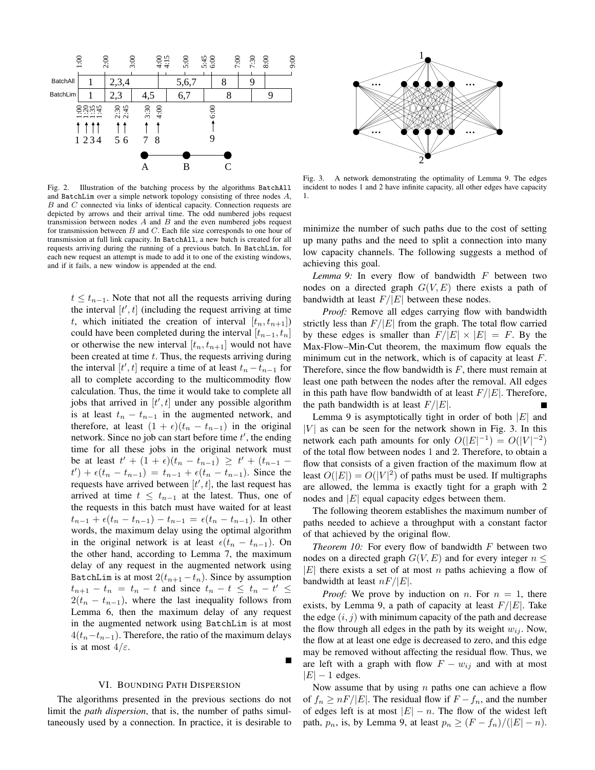

Fig. 2. Illustration of the batching process by the algorithms BatchAll and BatchLim over a simple network topology consisting of three nodes *A*, *B* and *C* connected via links of identical capacity. Connection requests are depicted by arrows and their arrival time. The odd numbered jobs request transmission between nodes *A* and *B* and the even numbered jobs request for transmission between *B* and *C*. Each file size corresponds to one hour of transmission at full link capacity. In BatchAll, a new batch is created for all requests arriving during the running of a previous batch. In BatchLim, for each new request an attempt is made to add it to one of the existing windows, and if it fails, a new window is appended at the end.

 $t \leq t_{n-1}$ . Note that not all the requests arriving during the interval  $[t', t]$  (including the request arriving at time *t*, which initiated the creation of interval  $[t_n, t_{n+1}]$ could have been completed during the interval  $[t_{n-1}, t_n]$ or otherwise the new interval  $[t_n, t_{n+1}]$  would not have been created at time *t*. Thus, the requests arriving during the interval  $[t', t]$  require a time of at least  $t_n - t_{n-1}$  for all to complete according to the multicommodity flow calculation. Thus, the time it would take to complete all jobs that arrived in [*t ′ , t*] under any possible algorithm is at least  $t_n - t_{n-1}$  in the augmented network, and therefore, at least  $(1 + \epsilon)(t_n - t_{n-1})$  in the original network. Since no job can start before time *t ′* , the ending time for all these jobs in the original network must  $\int$ **be at least**  $t' + (1 + \epsilon)(t_n - t_{n-1}) \geq t' + (t_{n-1} - t_n)$  $t'$ ) +  $\epsilon(t_n - t_{n-1}) = t_{n-1} + \epsilon(t_n - t_{n-1})$ . Since the requests have arrived between [ $t'$ ,  $t$ ], the last request has arrived at time  $t \leq t_{n-1}$  at the latest. Thus, one of the requests in this batch must have waited for at least  $t_{n-1} + \epsilon(t_n - t_{n-1}) - t_{n-1} = \epsilon(t_n - t_{n-1})$ . In other words, the maximum delay using the optimal algorithm in the original network is at least  $\epsilon(t_n - t_{n-1})$ . On the other hand, according to Lemma 7, the maximum delay of any request in the augmented network using BatchLim is at most  $2(t_{n+1} - t_n)$ . Since by assumption  $t_{n+1} - t_n = t_n - t$  and since  $t_n - t \leq t_n - t' \leq$  $2(t_n - t_{n-1})$ , where the last inequality follows from Lemma 6, then the maximum delay of any request in the augmented network using BatchLim is at most  $4(t<sub>n</sub>−t<sub>n-1</sub>)$ . Therefore, the ratio of the maximum delays is at most 4*/ε*.

#### VI. BOUNDING PATH DISPERSION

The algorithms presented in the previous sections do not limit the *path dispersion*, that is, the number of paths simultaneously used by a connection. In practice, it is desirable to



Fig. 3. A network demonstrating the optimality of Lemma 9. The edges incident to nodes 1 and 2 have infinite capacity, all other edges have capacity 1.

minimize the number of such paths due to the cost of setting up many paths and the need to split a connection into many low capacity channels. The following suggests a method of achieving this goal.

*Lemma 9:* In every flow of bandwidth *F* between two nodes on a directed graph *G*(*V, E*) there exists a path of bandwidth at least  $F/|E|$  between these nodes.

*Proof:* Remove all edges carrying flow with bandwidth strictly less than  $F/|E|$  from the graph. The total flow carried by these edges is smaller than  $F/|E| \times |E| = F$ . By the Max-Flow–Min-Cut theorem, the maximum flow equals the minimum cut in the network, which is of capacity at least *F*. Therefore, since the flow bandwidth is *F*, there must remain at least one path between the nodes after the removal. All edges in this path have flow bandwidth of at least *F/|E|*. Therefore, the path bandwidth is at least *F/|E|*.

Lemma 9 is asymptotically tight in order of both *|E|* and  $|V|$  as can be seen for the network shown in Fig. 3. In this network each path amounts for only  $O(|E|^{-1}) = O(|V|^{-2})$ of the total flow between nodes 1 and 2. Therefore, to obtain a flow that consists of a given fraction of the maximum flow at least  $O(|E|) = O(|V|^2)$  of paths must be used. If multigraphs are allowed, the lemma is exactly tight for a graph with 2 nodes and *|E|* equal capacity edges between them.

The following theorem establishes the maximum number of paths needed to achieve a throughput with a constant factor of that achieved by the original flow.

*Theorem 10:* For every flow of bandwidth *F* between two nodes on a directed graph  $G(V, E)$  and for every integer  $n \leq$ *|E|* there exists a set of at most *n* paths achieving a flow of bandwidth at least *nF/|E|*.

*Proof:* We prove by induction on *n*. For  $n = 1$ , there exists, by Lemma 9, a path of capacity at least  $F/|E|$ . Take the edge  $(i, j)$  with minimum capacity of the path and decrease the flow through all edges in the path by its weight  $w_{ij}$ . Now, the flow at at least one edge is decreased to zero, and this edge may be removed without affecting the residual flow. Thus, we are left with a graph with flow  $F - w_{ij}$  and with at most *|E| −* 1 edges.

Now assume that by using *n* paths one can achieve a flow of  $f_n \ge nF/|E|$ . The residual flow if  $F - f_n$ , and the number of edges left is at most  $|E| - n$ . The flow of the widest left path,  $p_n$ , is, by Lemma 9, at least  $p_n \geq (F - f_n)/(|E| - n)$ .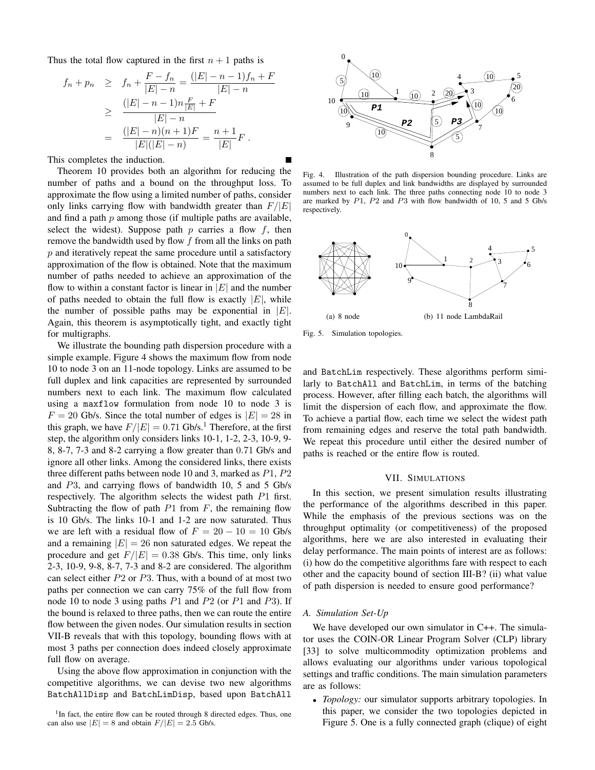Thus the total flow captured in the first  $n + 1$  paths is

$$
f_n + p_n \geq f_n + \frac{F - f_n}{|E| - n} = \frac{(|E| - n - 1)f_n + F}{|E| - n}
$$
  
\n
$$
\geq \frac{(|E| - n - 1)n\frac{F}{|E|} + F}{|E| - n}
$$
  
\n
$$
= \frac{(|E| - n)(n + 1)F}{|E|(|E| - n)} = \frac{n + 1}{|E|}F.
$$

This completes the induction.

Theorem 10 provides both an algorithm for reducing the number of paths and a bound on the throughput loss. To approximate the flow using a limited number of paths, consider only links carrying flow with bandwidth greater than *F/|E|* and find a path *p* among those (if multiple paths are available, select the widest). Suppose path  $p$  carries a flow  $f$ , then remove the bandwidth used by flow *f* from all the links on path *p* and iteratively repeat the same procedure until a satisfactory approximation of the flow is obtained. Note that the maximum number of paths needed to achieve an approximation of the flow to within a constant factor is linear in  $|E|$  and the number of paths needed to obtain the full flow is exactly  $|E|$ , while the number of possible paths may be exponential in *|E|*. Again, this theorem is asymptotically tight, and exactly tight for multigraphs.

We illustrate the bounding path dispersion procedure with a simple example. Figure 4 shows the maximum flow from node 10 to node 3 on an 11-node topology. Links are assumed to be full duplex and link capacities are represented by surrounded numbers next to each link. The maximum flow calculated using a maxflow formulation from node 10 to node 3 is  $F = 20$  Gb/s. Since the total number of edges is  $|E| = 28$  in this graph, we have  $F/|E| = 0.71$  Gb/s.<sup>1</sup> Therefore, at the first step, the algorithm only considers links 10-1, 1-2, 2-3, 10-9, 9- 8, 8-7, 7-3 and 8-2 carrying a flow greater than 0*.*71 Gb/s and ignore all other links. Among the considered links, there exists three different paths between node 10 and 3, marked as *P*1, *P*2 and *P*3, and carrying flows of bandwidth 10, 5 and 5 Gb/s respectively. The algorithm selects the widest path *P*1 first. Subtracting the flow of path *P*1 from *F*, the remaining flow is 10 Gb/s. The links 10-1 and 1-2 are now saturated. Thus we are left with a residual flow of  $F = 20 - 10 = 10$  Gb/s and a remaining  $|E| = 26$  non saturated edges. We repeat the procedure and get  $F/|E| = 0.38$  Gb/s. This time, only links 2-3, 10-9, 9-8, 8-7, 7-3 and 8-2 are considered. The algorithm can select either *P*2 or *P*3. Thus, with a bound of at most two paths per connection we can carry 75% of the full flow from node 10 to node 3 using paths *P*1 and *P*2 (or *P*1 and *P*3). If the bound is relaxed to three paths, then we can route the entire flow between the given nodes. Our simulation results in section VII-B reveals that with this topology, bounding flows with at most 3 paths per connection does indeed closely approximate full flow on average.

Using the above flow approximation in conjunction with the competitive algorithms, we can devise two new algorithms BatchAllDisp and BatchLimDisp, based upon BatchAll



Fig. 4. Illustration of the path dispersion bounding procedure. Links are assumed to be full duplex and link bandwidths are displayed by surrounded numbers next to each link. The three paths connecting node 10 to node 3 are marked by *P*1, *P*2 and *P*3 with flow bandwidth of 10, 5 and 5 Gb/s respectively.



Fig. 5. Simulation topologies.

and BatchLim respectively. These algorithms perform similarly to BatchAll and BatchLim, in terms of the batching process. However, after filling each batch, the algorithms will limit the dispersion of each flow, and approximate the flow. To achieve a partial flow, each time we select the widest path from remaining edges and reserve the total path bandwidth. We repeat this procedure until either the desired number of paths is reached or the entire flow is routed.

## VII. SIMULATIONS

In this section, we present simulation results illustrating the performance of the algorithms described in this paper. While the emphasis of the previous sections was on the throughput optimality (or competitiveness) of the proposed algorithms, here we are also interested in evaluating their delay performance. The main points of interest are as follows: (i) how do the competitive algorithms fare with respect to each other and the capacity bound of section III-B? (ii) what value of path dispersion is needed to ensure good performance?

#### *A. Simulation Set-Up*

We have developed our own simulator in C++. The simulator uses the COIN-OR Linear Program Solver (CLP) library [33] to solve multicommodity optimization problems and allows evaluating our algorithms under various topological settings and traffic conditions. The main simulation parameters are as follows:

*• Topology:* our simulator supports arbitrary topologies. In this paper, we consider the two topologies depicted in Figure 5. One is a fully connected graph (clique) of eight

<sup>&</sup>lt;sup>1</sup>In fact, the entire flow can be routed through 8 directed edges. Thus, one can also use  $|E| = 8$  and obtain  $F/|E| = 2.5$  Gb/s.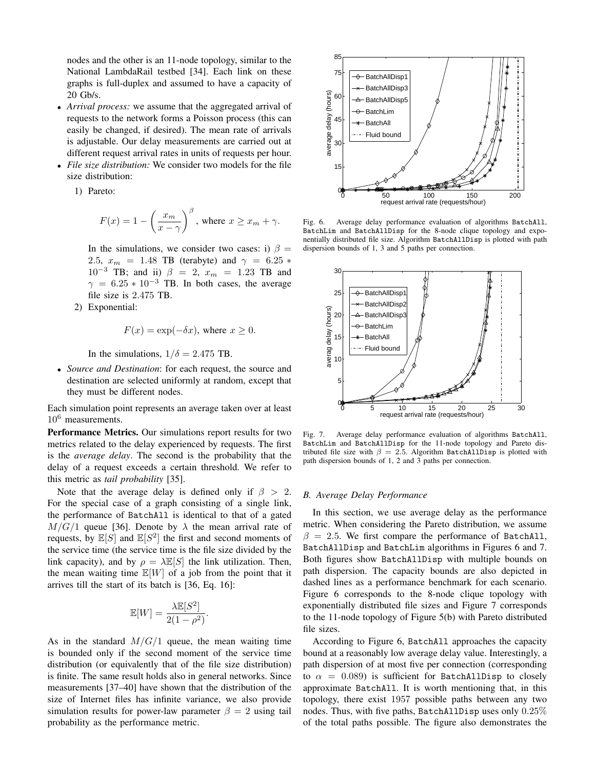nodes and the other is an 11-node topology, similar to the National LambdaRail testbed [34]. Each link on these graphs is full-duplex and assumed to have a capacity of 20 Gb/s.

- *• Arrival process:* we assume that the aggregated arrival of requests to the network forms a Poisson process (this can easily be changed, if desired). The mean rate of arrivals is adjustable. Our delay measurements are carried out at different request arrival rates in units of requests per hour.
- *• File size distribution:* We consider two models for the file size distribution:

1) Pareto:

$$
F(x) = 1 - \left(\frac{x_m}{x - \gamma}\right)^{\beta}, \text{ where } x \ge x_m + \gamma.
$$

In the simulations, we consider two cases: i)  $\beta$  = 2.5,  $x_m = 1.48$  TB (terabyte) and  $\gamma = 6.25$  \* 10*−*<sup>3</sup> TB; and ii) *β* = 2, *x<sup>m</sup>* = 1*.*23 TB and  $\gamma = 6.25 * 10^{-3}$  TB. In both cases, the average file size is 2*.*475 TB.

2) Exponential:

$$
F(x) = \exp(-\delta x), \text{ where } x \ge 0.
$$

In the simulations,  $1/\delta = 2.475$  TB.

*• Source and Destination*: for each request, the source and destination are selected uniformly at random, except that they must be different nodes.

Each simulation point represents an average taken over at least  $10^6$  measurements.

Performance Metrics. Our simulations report results for two metrics related to the delay experienced by requests. The first is the *average delay*. The second is the probability that the delay of a request exceeds a certain threshold. We refer to this metric as *tail probability* [35].

Note that the average delay is defined only if  $\beta > 2$ . For the special case of a graph consisting of a single link, the performance of BatchAll is identical to that of a gated  $M/G/1$  queue [36]. Denote by  $\lambda$  the mean arrival rate of requests, by  $\mathbb{E}[S]$  and  $\mathbb{E}[S^2]$  the first and second moments of the service time (the service time is the file size divided by the link capacity), and by  $\rho = \lambda \mathbb{E}[S]$  the link utilization. Then, the mean waiting time  $\mathbb{E}[W]$  of a job from the point that it arrives till the start of its batch is [36, Eq. 16]:

$$
\mathbb{E}[W] = \frac{\lambda \mathbb{E}[S^2]}{2(1 - \rho^2)}.
$$

As in the standard  $M/G/1$  queue, the mean waiting time is bounded only if the second moment of the service time distribution (or equivalently that of the file size distribution) is finite. The same result holds also in general networks. Since measurements [37–40] have shown that the distribution of the size of Internet files has infinite variance, we also provide simulation results for power-law parameter  $\beta = 2$  using tail probability as the performance metric.



Fig. 6. Average delay performance evaluation of algorithms BatchAll, BatchLim and BatchAllDisp for the 8-node clique topology and exponentially distributed file size. Algorithm BatchAllDisp is plotted with path dispersion bounds of 1, 3 and 5 paths per connection.



Fig. 7. Average delay performance evaluation of algorithms BatchAll, BatchLim and BatchAllDisp for the 11-node topology and Pareto distributed file size with  $\beta = 2.5$ . Algorithm BatchAllDisp is plotted with path dispersion bounds of 1, 2 and 3 paths per connection.

#### *B. Average Delay Performance*

In this section, we use average delay as the performance metric. When considering the Pareto distribution, we assume  $\beta = 2.5$ . We first compare the performance of BatchAll, BatchAllDisp and BatchLim algorithms in Figures 6 and 7. Both figures show BatchAllDisp with multiple bounds on path dispersion. The capacity bounds are also depicted in dashed lines as a performance benchmark for each scenario. Figure 6 corresponds to the 8-node clique topology with exponentially distributed file sizes and Figure 7 corresponds to the 11-node topology of Figure 5(b) with Pareto distributed file sizes.

According to Figure 6, BatchAll approaches the capacity bound at a reasonably low average delay value. Interestingly, a path dispersion of at most five per connection (corresponding to  $\alpha = 0.089$  is sufficient for BatchAllDisp to closely approximate BatchAll. It is worth mentioning that, in this topology, there exist 1957 possible paths between any two nodes. Thus, with five paths, BatchAllDisp uses only 0*.*25% of the total paths possible. The figure also demonstrates the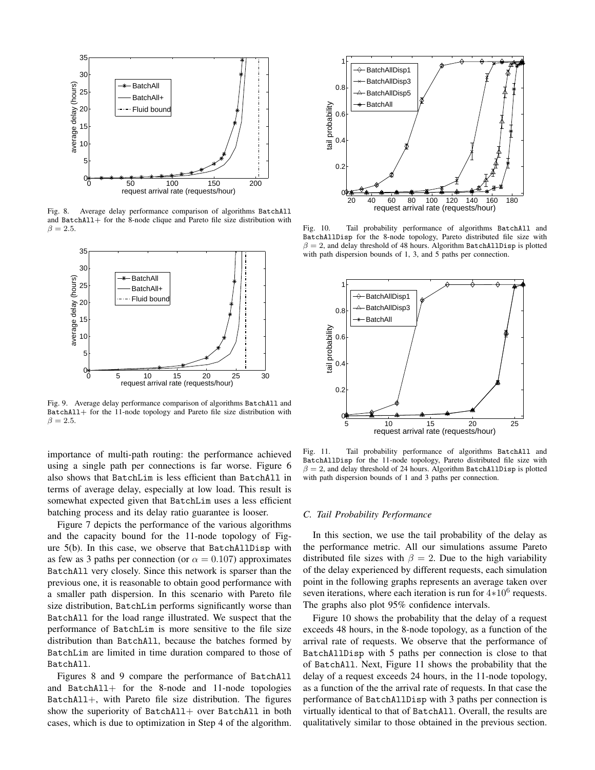

Fig. 8. Average delay performance comparison of algorithms BatchAll and BatchAll+ for the 8-node clique and Pareto file size distribution with  $\beta = 2.5$ .



Fig. 9. Average delay performance comparison of algorithms BatchAll and BatchAll+ for the 11-node topology and Pareto file size distribution with  $\beta = 2.5$ .

importance of multi-path routing: the performance achieved using a single path per connections is far worse. Figure 6 also shows that BatchLim is less efficient than BatchAll in terms of average delay, especially at low load. This result is somewhat expected given that BatchLim uses a less efficient batching process and its delay ratio guarantee is looser.

Figure 7 depicts the performance of the various algorithms and the capacity bound for the 11-node topology of Figure 5(b). In this case, we observe that BatchAllDisp with as few as 3 paths per connection (or  $\alpha = 0.107$ ) approximates BatchAll very closely. Since this network is sparser than the previous one, it is reasonable to obtain good performance with a smaller path dispersion. In this scenario with Pareto file size distribution, BatchLim performs significantly worse than BatchAll for the load range illustrated. We suspect that the performance of BatchLim is more sensitive to the file size distribution than BatchAll, because the batches formed by BatchLim are limited in time duration compared to those of BatchAll.

Figures 8 and 9 compare the performance of BatchAll and BatchAll+ for the 8-node and 11-node topologies BatchAll+, with Pareto file size distribution. The figures show the superiority of BatchAll+ over BatchAll in both cases, which is due to optimization in Step 4 of the algorithm.



Fig. 10. Tail probability performance of algorithms BatchAll and BatchAllDisp for the 8-node topology, Pareto distributed file size with  $\beta = 2$ , and delay threshold of 48 hours. Algorithm BatchAllDisp is plotted with path dispersion bounds of 1, 3, and 5 paths per connection.



Fig. 11. Tail probability performance of algorithms BatchAll and BatchAllDisp for the 11-node topology, Pareto distributed file size with  $\beta = 2$ , and delay threshold of 24 hours. Algorithm BatchAllDisp is plotted with path dispersion bounds of 1 and 3 paths per connection.

# *C. Tail Probability Performance*

In this section, we use the tail probability of the delay as the performance metric. All our simulations assume Pareto distributed file sizes with  $\beta = 2$ . Due to the high variability of the delay experienced by different requests, each simulation point in the following graphs represents an average taken over seven iterations, where each iteration is run for  $4*10<sup>6</sup>$  requests. The graphs also plot 95% confidence intervals.

Figure 10 shows the probability that the delay of a request exceeds 48 hours, in the 8-node topology, as a function of the arrival rate of requests. We observe that the performance of BatchAllDisp with 5 paths per connection is close to that of BatchAll. Next, Figure 11 shows the probability that the delay of a request exceeds 24 hours, in the 11-node topology, as a function of the the arrival rate of requests. In that case the performance of BatchAllDisp with 3 paths per connection is virtually identical to that of BatchAll. Overall, the results are qualitatively similar to those obtained in the previous section.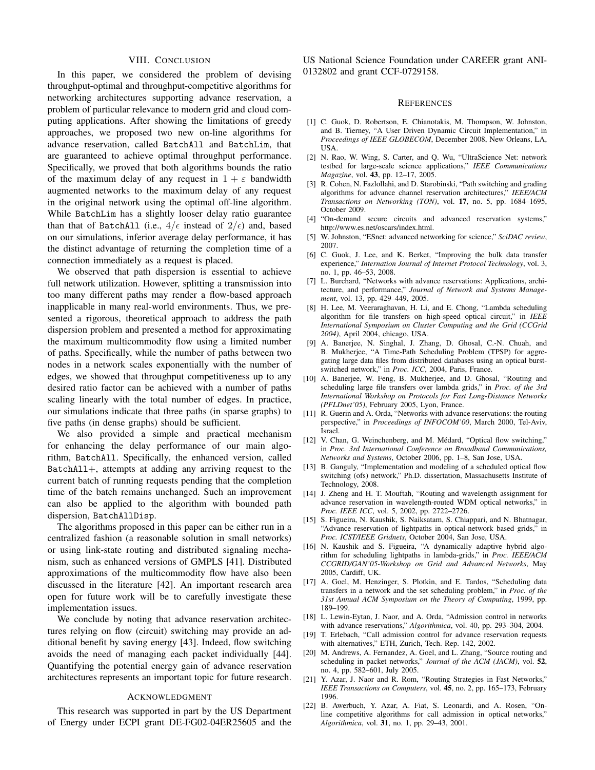# VIII. CONCLUSION

In this paper, we considered the problem of devising throughput-optimal and throughput-competitive algorithms for networking architectures supporting advance reservation, a problem of particular relevance to modern grid and cloud computing applications. After showing the limitations of greedy approaches, we proposed two new on-line algorithms for advance reservation, called BatchAll and BatchLim, that are guaranteed to achieve optimal throughput performance. Specifically, we proved that both algorithms bounds the ratio of the maximum delay of any request in  $1 + \varepsilon$  bandwidth augmented networks to the maximum delay of any request in the original network using the optimal off-line algorithm. While BatchLim has a slightly looser delay ratio guarantee than that of BatchAll (i.e.,  $4/\epsilon$  instead of  $2/\epsilon$ ) and, based on our simulations, inferior average delay performance, it has the distinct advantage of returning the completion time of a connection immediately as a request is placed.

We observed that path dispersion is essential to achieve full network utilization. However, splitting a transmission into too many different paths may render a flow-based approach inapplicable in many real-world environments. Thus, we presented a rigorous, theoretical approach to address the path dispersion problem and presented a method for approximating the maximum multicommodity flow using a limited number of paths. Specifically, while the number of paths between two nodes in a network scales exponentially with the number of edges, we showed that throughput competitiveness up to any desired ratio factor can be achieved with a number of paths scaling linearly with the total number of edges. In practice, our simulations indicate that three paths (in sparse graphs) to five paths (in dense graphs) should be sufficient.

We also provided a simple and practical mechanism for enhancing the delay performance of our main algorithm, BatchAll. Specifically, the enhanced version, called BatchAll+, attempts at adding any arriving request to the current batch of running requests pending that the completion time of the batch remains unchanged. Such an improvement can also be applied to the algorithm with bounded path dispersion, BatchAllDisp.

The algorithms proposed in this paper can be either run in a centralized fashion (a reasonable solution in small networks) or using link-state routing and distributed signaling mechanism, such as enhanced versions of GMPLS [41]. Distributed approximations of the multicommodity flow have also been discussed in the literature [42]. An important research area open for future work will be to carefully investigate these implementation issues.

We conclude by noting that advance reservation architectures relying on flow (circuit) switching may provide an additional benefit by saving energy [43]. Indeed, flow switching avoids the need of managing each packet individually [44]. Quantifying the potential energy gain of advance reservation architectures represents an important topic for future research.

## ACKNOWLEDGMENT

This research was supported in part by the US Department of Energy under ECPI grant DE-FG02-04ER25605 and the

US National Science Foundation under CAREER grant ANI-0132802 and grant CCF-0729158.

#### **REFERENCES**

- [1] C. Guok, D. Robertson, E. Chianotakis, M. Thompson, W. Johnston, and B. Tierney, "A User Driven Dynamic Circuit Implementation," in *Proceedings of IEEE GLOBECOM*, December 2008, New Orleans, LA, USA.
- [2] N. Rao, W. Wing, S. Carter, and Q. Wu, "UltraScience Net: network testbed for large-scale science applications," *IEEE Communications Magazine*, vol. 43, pp. 12–17, 2005.
- [3] R. Cohen, N. Fazlollahi, and D. Starobinski, "Path switching and grading algorithms for advance channel reservation architectures," *IEEE/ACM Transactions on Networking (TON)*, vol. 17, no. 5, pp. 1684–1695, October 2009.
- [4] "On-demand secure circuits and advanced reservation systems," http://www.es.net/oscars/index.html.
- [5] W. Johnston, "ESnet: advanced networking for science," *SciDAC review*, 2007.
- [6] C. Guok, J. Lee, and K. Berket, "Improving the bulk data transfer experience," *Internation Journal of Internet Protocol Technology*, vol. 3, no. 1, pp. 46–53, 2008.
- [7] L. Burchard, "Networks with advance reservations: Applications, architecture, and performance," *Journal of Network and Systems Management*, vol. 13, pp. 429–449, 2005.
- [8] H. Lee, M. Veeraraghavan, H. Li, and E. Chong, "Lambda scheduling algorithm for file transfers on high-speed optical circuit," in *IEEE International Symposium on Cluster Computing and the Grid (CCGrid 2004)*, April 2004, chicago, USA.
- [9] A. Banerjee, N. Singhal, J. Zhang, D. Ghosal, C.-N. Chuah, and B. Mukherjee, "A Time-Path Scheduling Problem (TPSP) for aggregating large data files from distributed databases using an optical burstswitched network," in *Proc. ICC*, 2004, Paris, France.
- [10] A. Banerjee, W. Feng, B. Mukherjee, and D. Ghosal, "Routing and scheduling large file transfers over lambda grids," in *Proc. of the 3rd International Workshop on Protocols for Fast Long-Distance Networks (PFLDnet'05)*, February 2005, Lyon, France.
- [11] R. Guerin and A. Orda, "Networks with advance reservations: the routing perspective," in *Proceedings of INFOCOM'00*, March 2000, Tel-Aviv, Israel.
- [12] V. Chan, G. Weinchenberg, and M. Médard, "Optical flow switching," in *Proc. 3rd International Conference on Broadband Communications, Networks and Systems*, October 2006, pp. 1–8, San Jose, USA.
- [13] B. Ganguly, "Implementation and modeling of a scheduled optical flow switching (ofs) network," Ph.D. dissertation, Massachusetts Institute of Technology, 2008.
- [14] J. Zheng and H. T. Mouftah, "Routing and wavelength assignment for advance reservation in wavelength-routed WDM optical networks," in *Proc. IEEE ICC*, vol. 5, 2002, pp. 2722–2726.
- [15] S. Figueira, N. Kaushik, S. Naiksatam, S. Chiappari, and N. Bhatnagar, "Advance reservation of lightpaths in optical-network based grids," in *Proc. ICST/IEEE Gridnets*, October 2004, San Jose, USA.
- [16] N. Kaushik and S. Figueira, "A dynamically adaptive hybrid algorithm for scheduling lightpaths in lambda-grids," in *Proc. IEEE/ACM CCGRID/GAN'05-Workshop on Grid and Advanced Networks*, May 2005, Cardiff, UK.
- [17] A. Goel, M. Henzinger, S. Plotkin, and E. Tardos, "Scheduling data transfers in a network and the set scheduling problem," in *Proc. of the 31st Annual ACM Symposium on the Theory of Computing*, 1999, pp. 189–199.
- [18] L. Lewin-Eytan, J. Naor, and A. Orda, "Admission control in networks with advance reservations," *Algorithmica*, vol. 40, pp. 293–304, 2004.
- [19] T. Erlebach, "Call admission control for advance reservation requests with alternatives," ETH, Zurich, Tech. Rep. 142, 2002.
- [20] M. Andrews, A. Fernandez, A. Goel, and L. Zhang, "Source routing and scheduling in packet networks," *Journal of the ACM (JACM)*, vol. 52, no. 4, pp. 582–601, July 2005.
- [21] Y. Azar, J. Naor and R. Rom, "Routing Strategies in Fast Networks," *IEEE Transactions on Computers*, vol. 45, no. 2, pp. 165–173, February 1996.
- [22] B. Awerbuch, Y. Azar, A. Fiat, S. Leonardi, and A. Rosen, "Online competitive algorithms for call admission in optical networks," *Algorithmica*, vol. 31, no. 1, pp. 29–43, 2001.